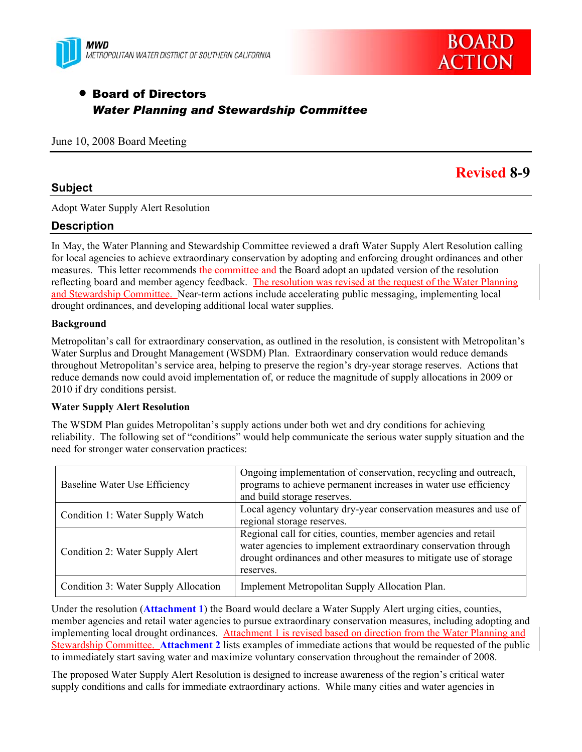



# • Board of Directors *Water Planning and Stewardship Committee*

June 10, 2008 Board Meeting

## **Subject**

**Revised 8-9** 

Adopt Water Supply Alert Resolution

## **Description**

In May, the Water Planning and Stewardship Committee reviewed a draft Water Supply Alert Resolution calling for local agencies to achieve extraordinary conservation by adopting and enforcing drought ordinances and other measures. This letter recommends the committee and the Board adopt an updated version of the resolution reflecting board and member agency feedback. The resolution was revised at the request of the Water Planning and Stewardship Committee. Near-term actions include accelerating public messaging, implementing local drought ordinances, and developing additional local water supplies.

### **Background**

Metropolitan's call for extraordinary conservation, as outlined in the resolution, is consistent with Metropolitan's Water Surplus and Drought Management (WSDM) Plan. Extraordinary conservation would reduce demands throughout Metropolitan's service area, helping to preserve the region's dry-year storage reserves. Actions that reduce demands now could avoid implementation of, or reduce the magnitude of supply allocations in 2009 or 2010 if dry conditions persist.

#### **Water Supply Alert Resolution**

The WSDM Plan guides Metropolitan's supply actions under both wet and dry conditions for achieving reliability. The following set of "conditions" would help communicate the serious water supply situation and the need for stronger water conservation practices:

| Baseline Water Use Efficiency        | Ongoing implementation of conservation, recycling and outreach,<br>programs to achieve permanent increases in water use efficiency<br>and build storage reserves.                                                 |
|--------------------------------------|-------------------------------------------------------------------------------------------------------------------------------------------------------------------------------------------------------------------|
| Condition 1: Water Supply Watch      | Local agency voluntary dry-year conservation measures and use of<br>regional storage reserves.                                                                                                                    |
| Condition 2: Water Supply Alert      | Regional call for cities, counties, member agencies and retail<br>water agencies to implement extraordinary conservation through<br>drought ordinances and other measures to mitigate use of storage<br>reserves. |
| Condition 3: Water Supply Allocation | Implement Metropolitan Supply Allocation Plan.                                                                                                                                                                    |

Under the resolution (**Attachment 1**) the Board would declare a Water Supply Alert urging cities, counties, member agencies and retail water agencies to pursue extraordinary conservation measures, including adopting and implementing local drought ordinances. Attachment 1 is revised based on direction from the Water Planning and Stewardship Committee. **Attachment 2** lists examples of immediate actions that would be requested of the public to immediately start saving water and maximize voluntary conservation throughout the remainder of 2008.

The proposed Water Supply Alert Resolution is designed to increase awareness of the region's critical water supply conditions and calls for immediate extraordinary actions. While many cities and water agencies in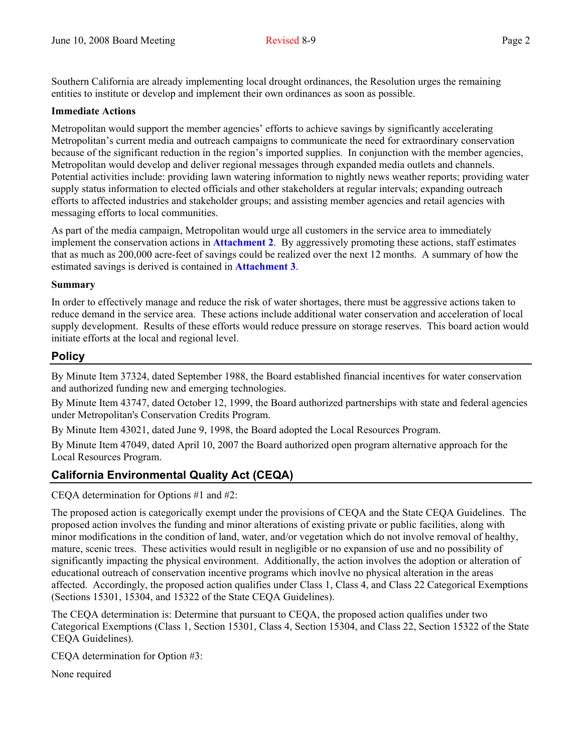Southern California are already implementing local drought ordinances, the Resolution urges the remaining entities to institute or develop and implement their own ordinances as soon as possible.

### **Immediate Actions**

Metropolitan would support the member agencies' efforts to achieve savings by significantly accelerating Metropolitan's current media and outreach campaigns to communicate the need for extraordinary conservation because of the significant reduction in the region's imported supplies. In conjunction with the member agencies, Metropolitan would develop and deliver regional messages through expanded media outlets and channels. Potential activities include: providing lawn watering information to nightly news weather reports; providing water supply status information to elected officials and other stakeholders at regular intervals; expanding outreach efforts to affected industries and stakeholder groups; and assisting member agencies and retail agencies with messaging efforts to local communities.

As part of the media campaign, Metropolitan would urge all customers in the service area to immediately implement the conservation actions in **Attachment 2**. By aggressively promoting these actions, staff estimates that as much as 200,000 acre-feet of savings could be realized over the next 12 months. A summary of how the estimated savings is derived is contained in **Attachment 3**.

### **Summary**

In order to effectively manage and reduce the risk of water shortages, there must be aggressive actions taken to reduce demand in the service area. These actions include additional water conservation and acceleration of local supply development. Results of these efforts would reduce pressure on storage reserves. This board action would initiate efforts at the local and regional level.

## **Policy**

By Minute Item 37324, dated September 1988, the Board established financial incentives for water conservation and authorized funding new and emerging technologies.

By Minute Item 43747, dated October 12, 1999, the Board authorized partnerships with state and federal agencies under Metropolitan's Conservation Credits Program.

By Minute Item 43021, dated June 9, 1998, the Board adopted the Local Resources Program.

By Minute Item 47049, dated April 10, 2007 the Board authorized open program alternative approach for the Local Resources Program.

## **California Environmental Quality Act (CEQA)**

CEQA determination for Options #1 and #2:

The proposed action is categorically exempt under the provisions of CEQA and the State CEQA Guidelines. The proposed action involves the funding and minor alterations of existing private or public facilities, along with minor modifications in the condition of land, water, and/or vegetation which do not involve removal of healthy, mature, scenic trees. These activities would result in negligible or no expansion of use and no possibility of significantly impacting the physical environment. Additionally, the action involves the adoption or alteration of educational outreach of conservation incentive programs which inovlve no physical alteration in the areas affected. Accordingly, the proposed action qualifies under Class 1, Class 4, and Class 22 Categorical Exemptions (Sections 15301, 15304, and 15322 of the State CEQA Guidelines).

The CEQA determination is: Determine that pursuant to CEQA, the proposed action qualifies under two Categorical Exemptions (Class 1, Section 15301, Class 4, Section 15304, and Class 22, Section 15322 of the State CEQA Guidelines).

CEQA determination for Option #3:

None required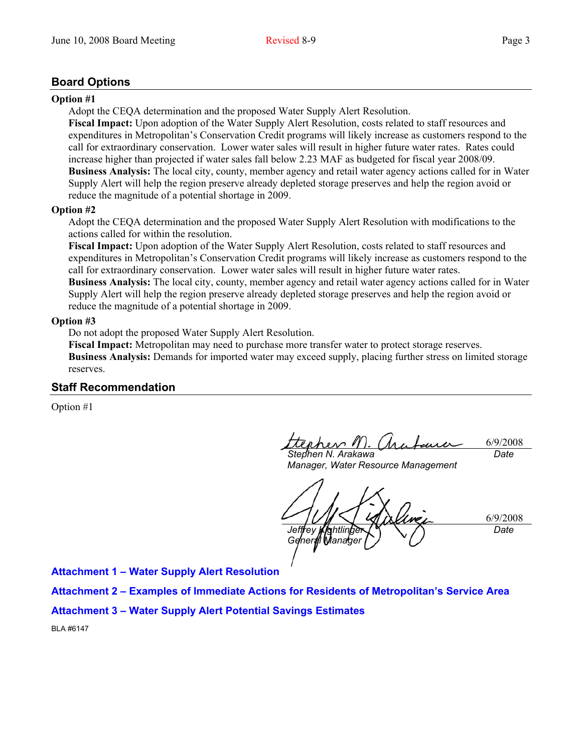## **Board Options**

#### **Option #1**

Adopt the CEQA determination and the proposed Water Supply Alert Resolution.

**Fiscal Impact:** Upon adoption of the Water Supply Alert Resolution, costs related to staff resources and expenditures in Metropolitan's Conservation Credit programs will likely increase as customers respond to the call for extraordinary conservation. Lower water sales will result in higher future water rates. Rates could increase higher than projected if water sales fall below 2.23 MAF as budgeted for fiscal year 2008/09. **Business Analysis:** The local city, county, member agency and retail water agency actions called for in Water Supply Alert will help the region preserve already depleted storage preserves and help the region avoid or reduce the magnitude of a potential shortage in 2009.

#### **Option #2**

Adopt the CEQA determination and the proposed Water Supply Alert Resolution with modifications to the actions called for within the resolution.

**Fiscal Impact:** Upon adoption of the Water Supply Alert Resolution, costs related to staff resources and expenditures in Metropolitan's Conservation Credit programs will likely increase as customers respond to the call for extraordinary conservation. Lower water sales will result in higher future water rates. **Business Analysis:** The local city, county, member agency and retail water agency actions called for in Water Supply Alert will help the region preserve already depleted storage preserves and help the region avoid or

reduce the magnitude of a potential shortage in 2009.

### **Option #3**

Do not adopt the proposed Water Supply Alert Resolution.

**Fiscal Impact:** Metropolitan may need to purchase more transfer water to protect storage reserves. **Business Analysis:** Demands for imported water may exceed supply, placing further stress on limited storage reserves.

## **Staff Recommendation**

Option #1

6/9/2008 *Date* 

*Stephen N. Arakawa Manager, Water Resource Management* 

6/9/2008 *Jeffrey Kightlinger General Manager Date* 

**Attachment 1 – Water Supply Alert Resolution** 

**Attachment 2 – Examples of Immediate Actions for Residents of Metropolitan's Service Area** 

**Attachment 3 – Water Supply Alert Potential Savings Estimates** 

BLA #6147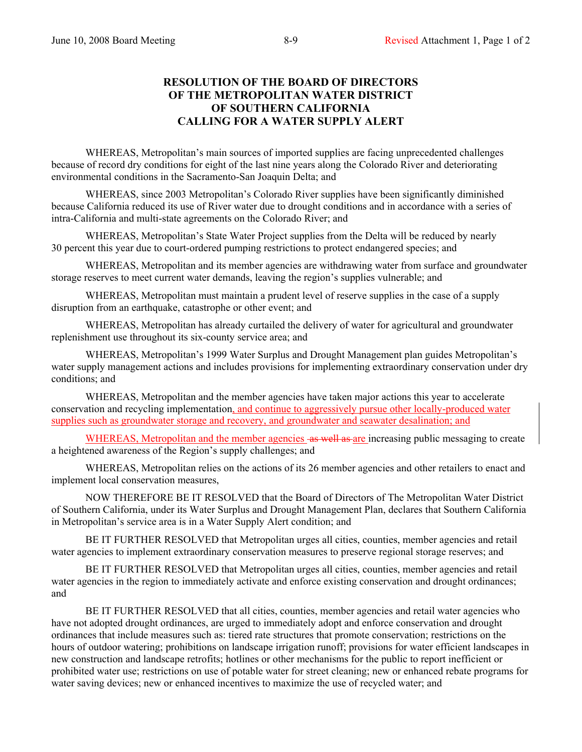## **RESOLUTION OF THE BOARD OF DIRECTORS OF THE METROPOLITAN WATER DISTRICT OF SOUTHERN CALIFORNIA CALLING FOR A WATER SUPPLY ALERT**

WHEREAS, Metropolitan's main sources of imported supplies are facing unprecedented challenges because of record dry conditions for eight of the last nine years along the Colorado River and deteriorating environmental conditions in the Sacramento-San Joaquin Delta; and

WHEREAS, since 2003 Metropolitan's Colorado River supplies have been significantly diminished because California reduced its use of River water due to drought conditions and in accordance with a series of intra-California and multi-state agreements on the Colorado River; and

WHEREAS, Metropolitan's State Water Project supplies from the Delta will be reduced by nearly 30 percent this year due to court-ordered pumping restrictions to protect endangered species; and

WHEREAS, Metropolitan and its member agencies are withdrawing water from surface and groundwater storage reserves to meet current water demands, leaving the region's supplies vulnerable; and

WHEREAS, Metropolitan must maintain a prudent level of reserve supplies in the case of a supply disruption from an earthquake, catastrophe or other event; and

WHEREAS, Metropolitan has already curtailed the delivery of water for agricultural and groundwater replenishment use throughout its six-county service area; and

WHEREAS, Metropolitan's 1999 Water Surplus and Drought Management plan guides Metropolitan's water supply management actions and includes provisions for implementing extraordinary conservation under dry conditions; and

WHEREAS, Metropolitan and the member agencies have taken major actions this year to accelerate conservation and recycling implementation, and continue to aggressively pursue other locally-produced water supplies such as groundwater storage and recovery, and groundwater and seawater desalination; and

WHEREAS, Metropolitan and the member agencies as well as are increasing public messaging to create a heightened awareness of the Region's supply challenges; and

WHEREAS, Metropolitan relies on the actions of its 26 member agencies and other retailers to enact and implement local conservation measures,

NOW THEREFORE BE IT RESOLVED that the Board of Directors of The Metropolitan Water District of Southern California, under its Water Surplus and Drought Management Plan, declares that Southern California in Metropolitan's service area is in a Water Supply Alert condition; and

BE IT FURTHER RESOLVED that Metropolitan urges all cities, counties, member agencies and retail water agencies to implement extraordinary conservation measures to preserve regional storage reserves; and

BE IT FURTHER RESOLVED that Metropolitan urges all cities, counties, member agencies and retail water agencies in the region to immediately activate and enforce existing conservation and drought ordinances; and

BE IT FURTHER RESOLVED that all cities, counties, member agencies and retail water agencies who have not adopted drought ordinances, are urged to immediately adopt and enforce conservation and drought ordinances that include measures such as: tiered rate structures that promote conservation; restrictions on the hours of outdoor watering; prohibitions on landscape irrigation runoff; provisions for water efficient landscapes in new construction and landscape retrofits; hotlines or other mechanisms for the public to report inefficient or prohibited water use; restrictions on use of potable water for street cleaning; new or enhanced rebate programs for water saving devices; new or enhanced incentives to maximize the use of recycled water; and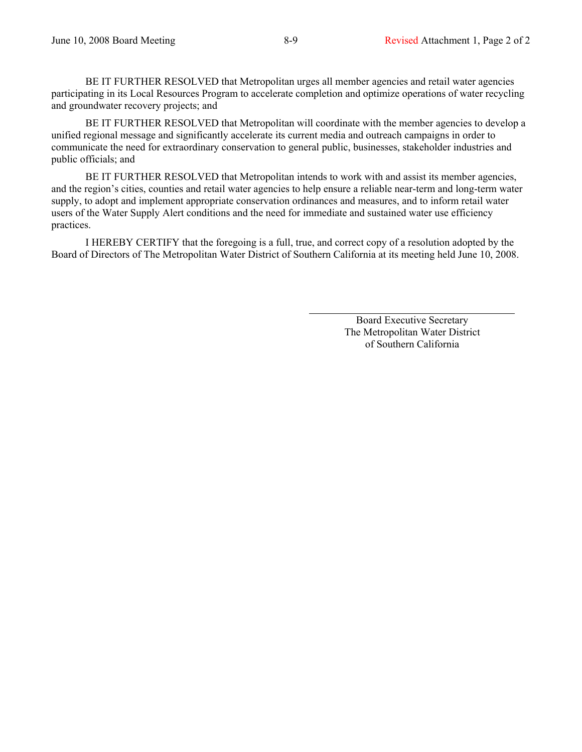BE IT FURTHER RESOLVED that Metropolitan urges all member agencies and retail water agencies participating in its Local Resources Program to accelerate completion and optimize operations of water recycling and groundwater recovery projects; and

BE IT FURTHER RESOLVED that Metropolitan will coordinate with the member agencies to develop a unified regional message and significantly accelerate its current media and outreach campaigns in order to communicate the need for extraordinary conservation to general public, businesses, stakeholder industries and public officials; and

BE IT FURTHER RESOLVED that Metropolitan intends to work with and assist its member agencies, and the region's cities, counties and retail water agencies to help ensure a reliable near-term and long-term water supply, to adopt and implement appropriate conservation ordinances and measures, and to inform retail water users of the Water Supply Alert conditions and the need for immediate and sustained water use efficiency practices.

I HEREBY CERTIFY that the foregoing is a full, true, and correct copy of a resolution adopted by the Board of Directors of The Metropolitan Water District of Southern California at its meeting held June 10, 2008.

> Board Executive Secretary The Metropolitan Water District of Southern California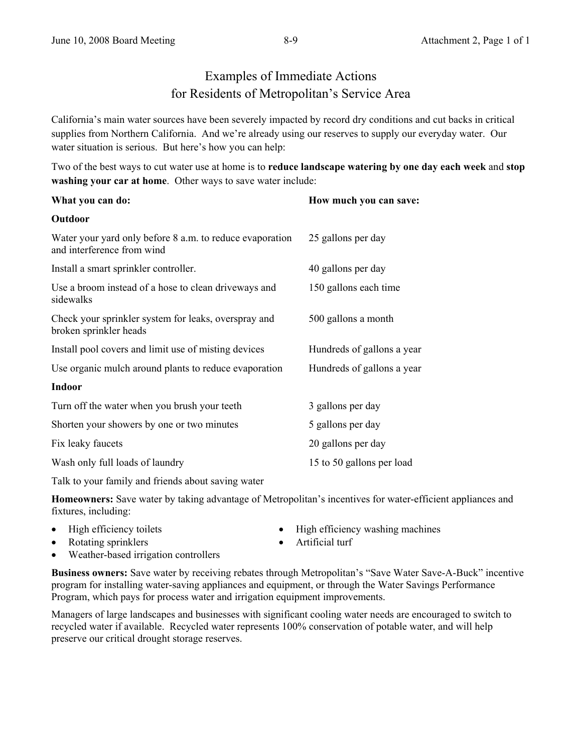# Examples of Immediate Actions for Residents of Metropolitan's Service Area

California's main water sources have been severely impacted by record dry conditions and cut backs in critical supplies from Northern California. And we're already using our reserves to supply our everyday water. Our water situation is serious. But here's how you can help:

Two of the best ways to cut water use at home is to **reduce landscape watering by one day each week** and **stop washing your car at home**. Other ways to save water include:

| What you can do:                                                                       | How much you can save:     |  |
|----------------------------------------------------------------------------------------|----------------------------|--|
| Outdoor                                                                                |                            |  |
| Water your yard only before 8 a.m. to reduce evaporation<br>and interference from wind | 25 gallons per day         |  |
| Install a smart sprinkler controller.                                                  | 40 gallons per day         |  |
| Use a broom instead of a hose to clean driveways and<br>sidewalks                      | 150 gallons each time      |  |
| Check your sprinkler system for leaks, overspray and<br>broken sprinkler heads         | 500 gallons a month        |  |
| Install pool covers and limit use of misting devices                                   | Hundreds of gallons a year |  |
| Use organic mulch around plants to reduce evaporation                                  | Hundreds of gallons a year |  |
| <b>Indoor</b>                                                                          |                            |  |
| Turn off the water when you brush your teeth                                           | 3 gallons per day          |  |
| Shorten your showers by one or two minutes                                             | 5 gallons per day          |  |
| Fix leaky faucets                                                                      | 20 gallons per day         |  |
| Wash only full loads of laundry                                                        | 15 to 50 gallons per load  |  |

Talk to your family and friends about saving water

**Homeowners:** Save water by taking advantage of Metropolitan's incentives for water-efficient appliances and fixtures, including:

| • High efficiency toilets | • High efficiency washing machines |
|---------------------------|------------------------------------|
| • Rotating sprinklers     | $\bullet$ Artificial turf          |

• Weather-based irrigation controllers

**Business owners:** Save water by receiving rebates through Metropolitan's "Save Water Save-A-Buck" incentive program for installing water-saving appliances and equipment, or through the Water Savings Performance Program, which pays for process water and irrigation equipment improvements.

Managers of large landscapes and businesses with significant cooling water needs are encouraged to switch to recycled water if available. Recycled water represents 100% conservation of potable water, and will help preserve our critical drought storage reserves.